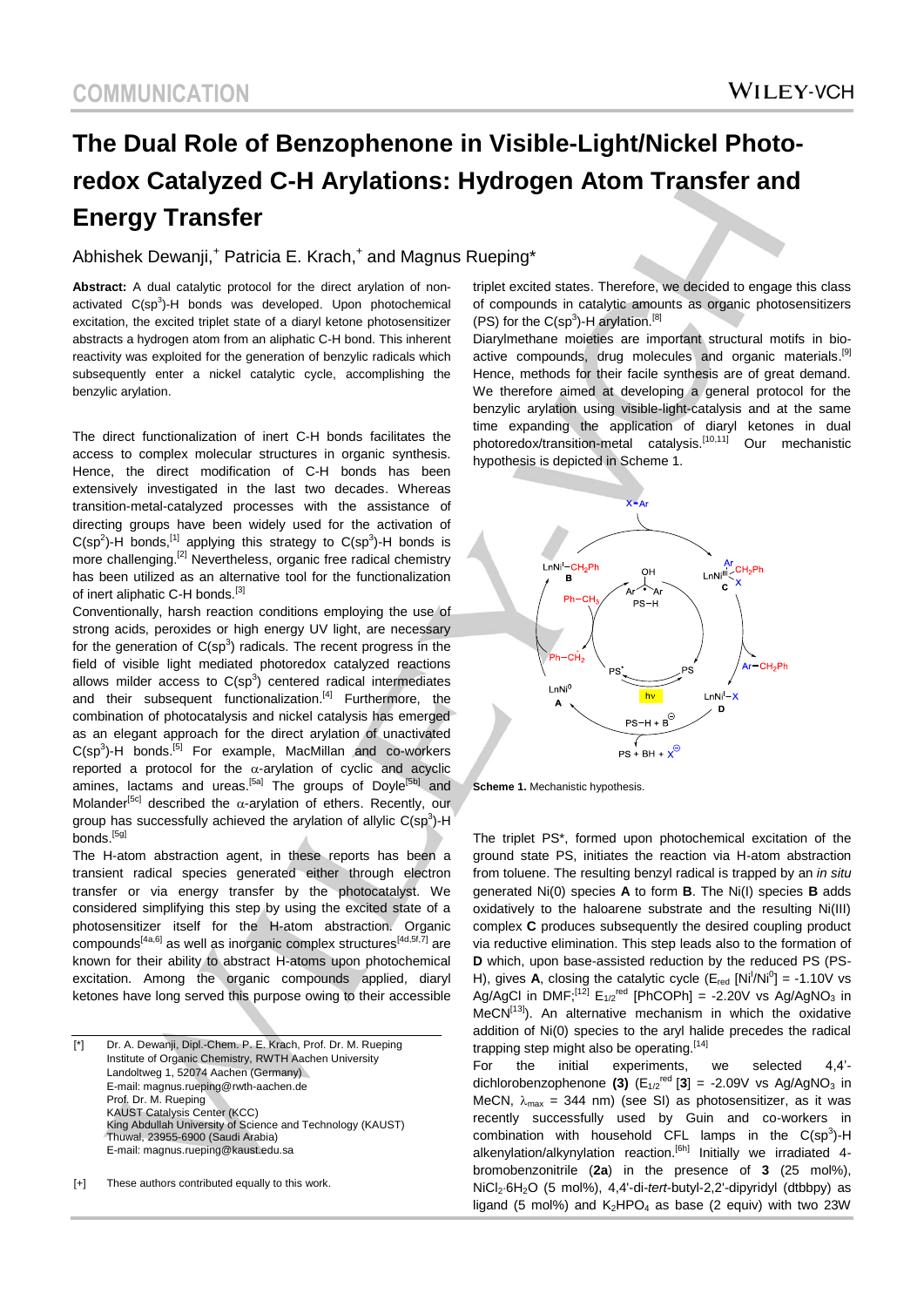# **The Dual Role of Benzophenone in Visible-Light/Nickel Photoredox Catalyzed C-H Arylations: Hydrogen Atom Transfer and Energy Transfer**

#### Abhishek Dewanji,<sup>+</sup> Patricia E. Krach,<sup>+</sup> and Magnus Rueping\*

**Abstract:** A dual catalytic protocol for the direct arylation of nonactivated  $C(sp^3)$ -H bonds was developed. Upon photochemical excitation, the excited triplet state of a diaryl ketone photosensitizer abstracts a hydrogen atom from an aliphatic C-H bond. This inherent reactivity was exploited for the generation of benzylic radicals which subsequently enter a nickel catalytic cycle, accomplishing the benzylic arylation.

The direct functionalization of inert C-H bonds facilitates the access to complex molecular structures in organic synthesis. Hence, the direct modification of C-H bonds has been extensively investigated in the last two decades. Whereas transition-metal-catalyzed processes with the assistance of directing groups have been widely used for the activation of  $C(sp^2)$ -H bonds,<sup>[1]</sup> applying this strategy to  $C(sp^3)$ -H bonds is more challenging.<sup>[2]</sup> Nevertheless, organic free radical chemistry has been utilized as an alternative tool for the functionalization of inert aliphatic C-H bonds.<sup>[3]</sup>

Conventionally, harsh reaction conditions employing the use of strong acids, peroxides or high energy UV light, are necessary for the generation of  $C(sp^3)$  radicals. The recent progress in the field of visible light mediated photoredox catalyzed reactions allows milder access to  $C(sp^3)$  centered radical intermediates and their subsequent functionalization.<sup>[4]</sup> Furthermore, the combination of photocatalysis and nickel catalysis has emerged as an elegant approach for the direct arylation of unactivated  $C(sp<sup>3</sup>)$ -H bonds.<sup>[5]</sup> For example, MacMillan and co-workers reported a protocol for the  $\alpha$ -arylation of cyclic and acyclic amines, lactams and ureas.<sup>[5a]</sup> The groups of Doyle<sup>[5b]</sup> and Molander<sup>[5c]</sup> described the  $\alpha$ -arylation of ethers. Recently, our group has successfully achieved the arylation of allylic  $C(sp^3)$ -H bonds.<sup>[5g]</sup>

The H-atom abstraction agent, in these reports has been a transient radical species generated either through electron transfer or via energy transfer by the photocatalyst. We considered simplifying this step by using the excited state of a photosensitizer itself for the H-atom abstraction. Organic compounds<sup>[4a,6]</sup> as well as inorganic complex structures<sup>[4d,5f,7]</sup> are known for their ability to abstract H-atoms upon photochemical excitation. Among the organic compounds applied, diaryl ketones have long served this purpose owing to their accessible

[\*] Dr. A. Dewanji, Dipl.-Chem. P. E. Krach, Prof. Dr. M. Rueping Institute of Organic Chemistry, RWTH Aachen University Landoltweg 1, 52074 Aachen (Germany) E-mail: magnus.rueping@rwth-aachen.de Prof. Dr. M. Rueping KAUST Catalysis Center (KCC) King Abdullah University of Science and Technology (KAUST) Thuwal, 23955-6900 (Saudi Arabia) E-mail: magnus.rueping@kaust.edu.sa

[+] These authors contributed equally to this work.

the document.

triplet excited states. Therefore, we decided to engage this class of compounds in catalytic amounts as organic photosensitizers  $(PS)$  for the  $C(sp^3)$ -H arylation.<sup>[8]</sup>

Diarylmethane moieties are important structural motifs in bioactive compounds, drug molecules and organic materials.<sup>[9]</sup> Hence, methods for their facile synthesis are of great demand. We therefore aimed at developing a general protocol for the benzylic arylation using visible-light-catalysis and at the same time expanding the application of diaryl ketones in dual photoredox/transition-metal catalysis.[10,11] Our mechanistic hypothesis is depicted in Scheme 1.



**Scheme 1.** Mechanistic hypothesis.

The triplet PS\*, formed upon photochemical excitation of the ground state PS, initiates the reaction via H-atom abstraction from toluene. The resulting benzyl radical is trapped by an *in situ* generated Ni(0) species **A** to form **B**. The Ni(I) species **B** adds oxidatively to the haloarene substrate and the resulting Ni(III) complex **C** produces subsequently the desired coupling product via reductive elimination. This step leads also to the formation of **D** which, upon base-assisted reduction by the reduced PS (PS-H), gives **A**, closing the catalytic cycle  $(E_{\text{red}} \text{[Ni}^{\dagger}/\text{Ni}^{\dagger}) = -1.10 \text{V}$  vs Ag/AgCl in DMF;<sup>[12]</sup>  $E_{1/2}$ <sup>red</sup> [PhCOPh] = -2.20V vs Ag/AgNO<sub>3</sub> in  $MeCN^{[13]}$ ). An alternative mechanism in which the oxidative addition of Ni(0) species to the aryl halide precedes the radical trapping step might also be operating.<sup>[14]</sup>

For the initial experiments, we selected 4,4' dichlorobenzophenone (3)  $(E_{1/2}^{\text{red}}[3] = -2.09V$  vs Ag/AgNO<sub>3</sub> in MeCN,  $\lambda_{\text{max}}$  = 344 nm) (see SI) as photosensitizer, as it was recently successfully used by Guin and co-workers in combination with household CFL lamps in the  $C(sp^3)$ -H alkenylation/alkynylation reaction.<sup>[6h]</sup> Initially we irradiated 4bromobenzonitrile (**2a**) in the presence of **3** (25 mol%), NiCl26H2O (5 mol%), 4,4'-di-*tert*-butyl-2,2'-dipyridyl (dtbbpy) as ligand (5 mol%) and  $K_2$ HPO<sub>4</sub> as base (2 equiv) with two 23W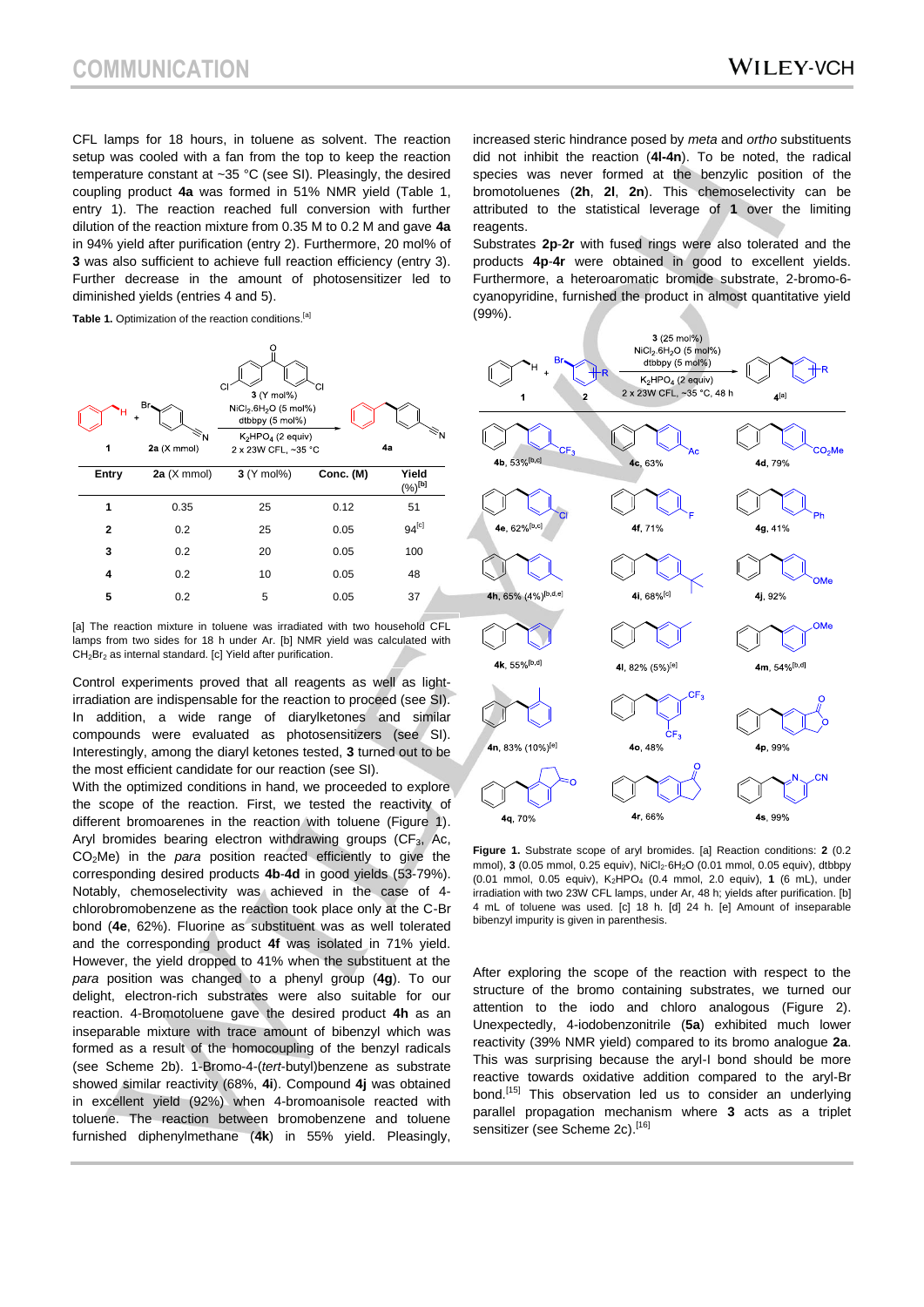CFL lamps for 18 hours, in toluene as solvent. The reaction setup was cooled with a fan from the top to keep the reaction temperature constant at ~35 °C (see SI). Pleasingly, the desired coupling product **4a** was formed in 51% NMR yield (Table 1, entry 1). The reaction reached full conversion with further dilution of the reaction mixture from 0.35 M to 0.2 M and gave **4a** in 94% yield after purification (entry 2). Furthermore, 20 mol% of **3** was also sufficient to achieve full reaction efficiency (entry 3). Further decrease in the amount of photosensitizer led to diminished yields (entries 4 and 5).

Table 1. Optimization of the reaction conditions.<sup>[a]</sup>



[a] The reaction mixture in toluene was irradiated with two household CFL lamps from two sides for 18 h under Ar. [b] NMR yield was calculated with  $CH<sub>2</sub>Br<sub>2</sub>$  as internal standard. [c] Yield after purification.

Control experiments proved that all reagents as well as lightirradiation are indispensable for the reaction to proceed (see SI). In addition, a wide range of diarylketones and similar compounds were evaluated as photosensitizers (see SI). Interestingly, among the diaryl ketones tested, **3** turned out to be the most efficient candidate for our reaction (see SI).

With the optimized conditions in hand, we proceeded to explore the scope of the reaction. First, we tested the reactivity of different bromoarenes in the reaction with toluene (Figure 1). Aryl bromides bearing electron withdrawing groups  $(CF_3, AC, BC)$ CO2Me) in the *para* position reacted efficiently to give the corresponding desired products **4b**-**4d** in good yields (53-79%). Notably, chemoselectivity was achieved in the case of 4 chlorobromobenzene as the reaction took place only at the C-Br bond (**4e**, 62%). Fluorine as substituent was as well tolerated and the corresponding product **4f** was isolated in 71% yield. However, the yield dropped to 41% when the substituent at the *para* position was changed to a phenyl group (**4g**). To our delight, electron-rich substrates were also suitable for our reaction. 4-Bromotoluene gave the desired product **4h** as an inseparable mixture with trace amount of bibenzyl which was formed as a result of the homocoupling of the benzyl radicals (see Scheme 2b). 1-Bromo-4-(*tert*-butyl)benzene as substrate showed similar reactivity (68%, **4i**). Compound **4j** was obtained in excellent yield (92%) when 4-bromoanisole reacted with toluene. The reaction between bromobenzene and toluene furnished diphenylmethane (**4k**) in 55% yield. Pleasingly,

increased steric hindrance posed by *meta* and *ortho* substituents did not inhibit the reaction (**4l-4n**). To be noted, the radical species was never formed at the benzylic position of the bromotoluenes (**2h**, **2l**, **2n**). This chemoselectivity can be attributed to the statistical leverage of **1** over the limiting reagents.

Substrates **2p**-**2r** with fused rings were also tolerated and the products **4p**-**4r** were obtained in good to excellent yields. Furthermore, a heteroaromatic bromide substrate, 2-bromo-6 cyanopyridine, furnished the product in almost quantitative yield (99%).



**Figure 1.** Substrate scope of aryl bromides. [a] Reaction conditions: **2** (0.2 mmol),  $3(0.05 \text{ mmol}, 0.25 \text{ equiv})$ , NiCl<sub>2</sub>·6H<sub>2</sub>O  $(0.01 \text{ mmol}, 0.05 \text{ equiv})$ , dtbbpy (0.01 mmol, 0.05 equiv), K<sub>2</sub>HPO<sub>4</sub> (0.4 mmol, 2.0 equiv), 1 (6 mL), under irradiation with two 23W CFL lamps, under Ar, 48 h; yields after purification. [b] 4 mL of toluene was used. [c] 18 h. [d] 24 h. [e] Amount of inseparable bibenzyl impurity is given in parenthesis.

After exploring the scope of the reaction with respect to the structure of the bromo containing substrates, we turned our attention to the iodo and chloro analogous (Figure 2). Unexpectedly, 4-iodobenzonitrile (**5a**) exhibited much lower reactivity (39% NMR yield) compared to its bromo analogue **2a**. This was surprising because the aryl-I bond should be more reactive towards oxidative addition compared to the aryl-Br bond.<sup>[15]</sup> This observation led us to consider an underlying parallel propagation mechanism where **3** acts as a triplet sensitizer (see Scheme 2c).<sup>[16]</sup>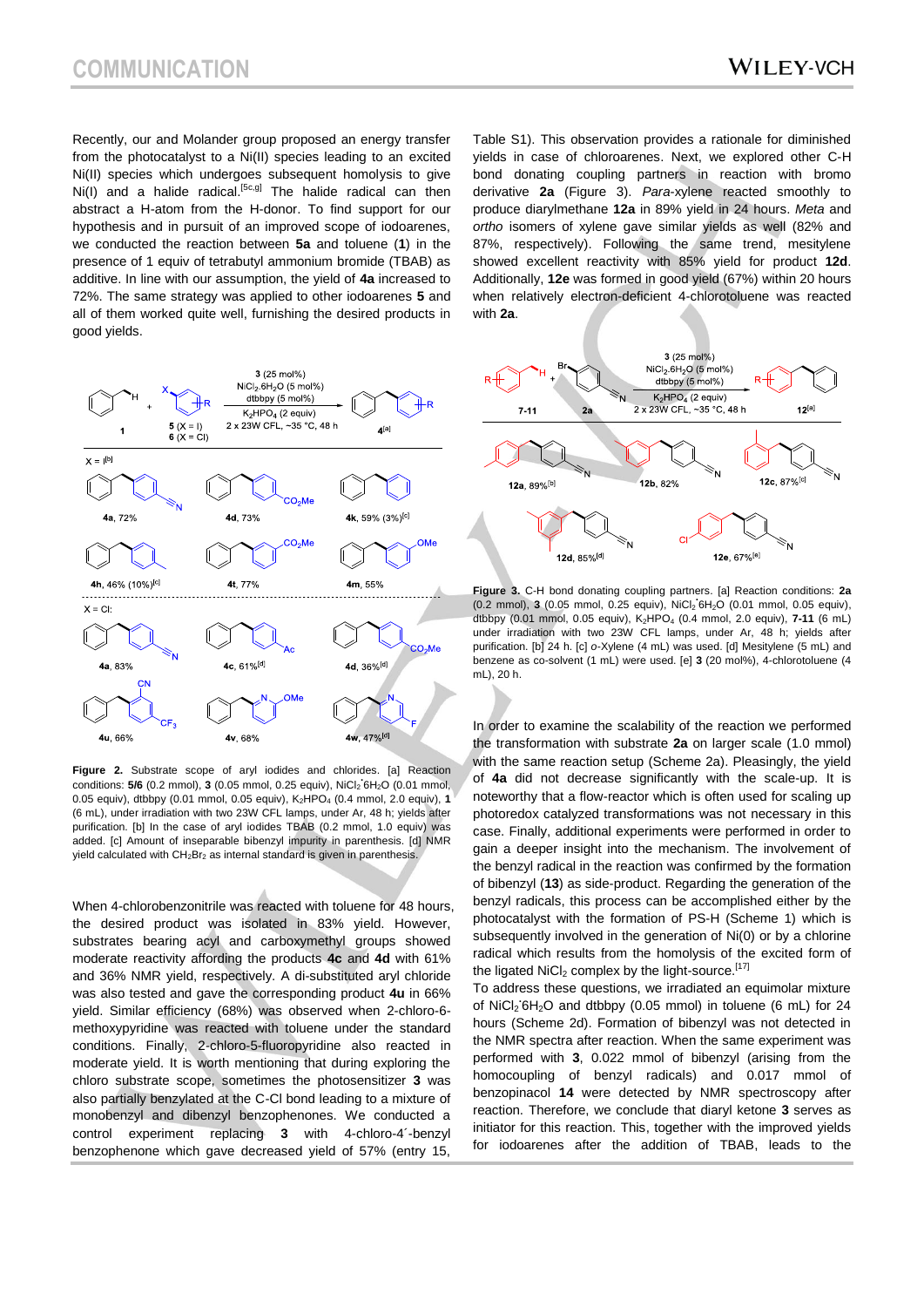Recently, our and Molander group proposed an energy transfer from the photocatalyst to a Ni(II) species leading to an excited Ni(II) species which undergoes subsequent homolysis to give Ni(I) and a halide radical.<sup>[5c,g]</sup> The halide radical can then abstract a H-atom from the H-donor. To find support for our hypothesis and in pursuit of an improved scope of iodoarenes, we conducted the reaction between **5a** and toluene (**1**) in the presence of 1 equiv of tetrabutyl ammonium bromide (TBAB) as additive. In line with our assumption, the yield of **4a** increased to 72%. The same strategy was applied to other iodoarenes **5** and all of them worked quite well, furnishing the desired products in good yields.



**Figure 2.** Substrate scope of aryl iodides and chlorides. [a] Reaction conditions: **5/6** (0.2 mmol), **3** (0.05 mmol, 0.25 equiv), NiCl<sup>2</sup> **.** 6H2O (0.01 mmol, 0.05 equiv), dtbbpy (0.01 mmol, 0.05 equiv), K<sub>2</sub>HPO<sub>4</sub> (0.4 mmol, 2.0 equiv), 1 (6 mL), under irradiation with two 23W CFL lamps, under Ar, 48 h; yields after purification. [b] In the case of aryl iodides TBAB (0.2 mmol, 1.0 equiv) was added. [c] Amount of inseparable bibenzyl impurity in parenthesis. [d] NMR yield calculated with  $CH_2Br_2$  as internal standard is given in parenthesis.

When 4-chlorobenzonitrile was reacted with toluene for 48 hours, the desired product was isolated in 83% yield. However, substrates bearing acyl and carboxymethyl groups showed moderate reactivity affording the products **4c** and **4d** with 61% and 36% NMR yield, respectively. A di-substituted aryl chloride was also tested and gave the corresponding product **4u** in 66% yield. Similar efficiency (68%) was observed when 2-chloro-6 methoxypyridine was reacted with toluene under the standard conditions. Finally, 2-chloro-5-fluoropyridine also reacted in moderate yield. It is worth mentioning that during exploring the chloro substrate scope, sometimes the photosensitizer **3** was also partially benzylated at the C-Cl bond leading to a mixture of monobenzyl and dibenzyl benzophenones. We conducted a control experiment replacing **3** with 4-chloro-4´-benzyl benzophenone which gave decreased yield of 57% (entry 15,

Table S1). This observation provides a rationale for diminished yields in case of chloroarenes. Next, we explored other C-H bond donating coupling partners in reaction with bromo derivative **2a** (Figure 3). *Para*-xylene reacted smoothly to produce diarylmethane **12a** in 89% yield in 24 hours. *Meta* and *ortho* isomers of xylene gave similar yields as well (82% and 87%, respectively). Following the same trend, mesitylene showed excellent reactivity with 85% yield for product **12d**. Additionally, **12e** was formed in good yield (67%) within 20 hours when relatively electron-deficient 4-chlorotoluene was reacted with **2a**.



**Figure 3.** C-H bond donating coupling partners. [a] Reaction conditions: **2a** (0.2 mmol), **3** (0.05 mmol, 0.25 equiv), NiCl<sup>2</sup> **.** 6H2O (0.01 mmol, 0.05 equiv), dtbbpy (0.01 mmol, 0.05 equiv), K2HPO<sup>4</sup> (0.4 mmol, 2.0 equiv), **7-11** (6 mL) under irradiation with two 23W CFL lamps, under Ar, 48 h; yields after purification. [b] 24 h. [c] *o*-Xylene (4 mL) was used. [d] Mesitylene (5 mL) and benzene as co-solvent (1 mL) were used. [e] **3** (20 mol%), 4-chlorotoluene (4 mL), 20 h.

In order to examine the scalability of the reaction we performed the transformation with substrate **2a** on larger scale (1.0 mmol) with the same reaction setup (Scheme 2a). Pleasingly, the yield of **4a** did not decrease significantly with the scale-up. It is noteworthy that a flow-reactor which is often used for scaling up photoredox catalyzed transformations was not necessary in this case. Finally, additional experiments were performed in order to gain a deeper insight into the mechanism. The involvement of the benzyl radical in the reaction was confirmed by the formation of bibenzyl (**13**) as side-product. Regarding the generation of the benzyl radicals, this process can be accomplished either by the photocatalyst with the formation of PS-H (Scheme 1) which is subsequently involved in the generation of Ni(0) or by a chlorine radical which results from the homolysis of the excited form of the ligated  $NiCl<sub>2</sub>$  complex by the light-source.<sup>[17]</sup>

To address these questions, we irradiated an equimolar mixture of NiCl<sub>2</sub><sup>6H<sub>2</sub>O and dtbbpy (0.05 mmol) in toluene (6 mL) for 24</sup> hours (Scheme 2d). Formation of bibenzyl was not detected in the NMR spectra after reaction. When the same experiment was performed with **3**, 0.022 mmol of bibenzyl (arising from the homocoupling of benzyl radicals) and 0.017 mmol of benzopinacol **14** were detected by NMR spectroscopy after reaction. Therefore, we conclude that diaryl ketone **3** serves as initiator for this reaction. This, together with the improved yields for iodoarenes after the addition of TBAB, leads to the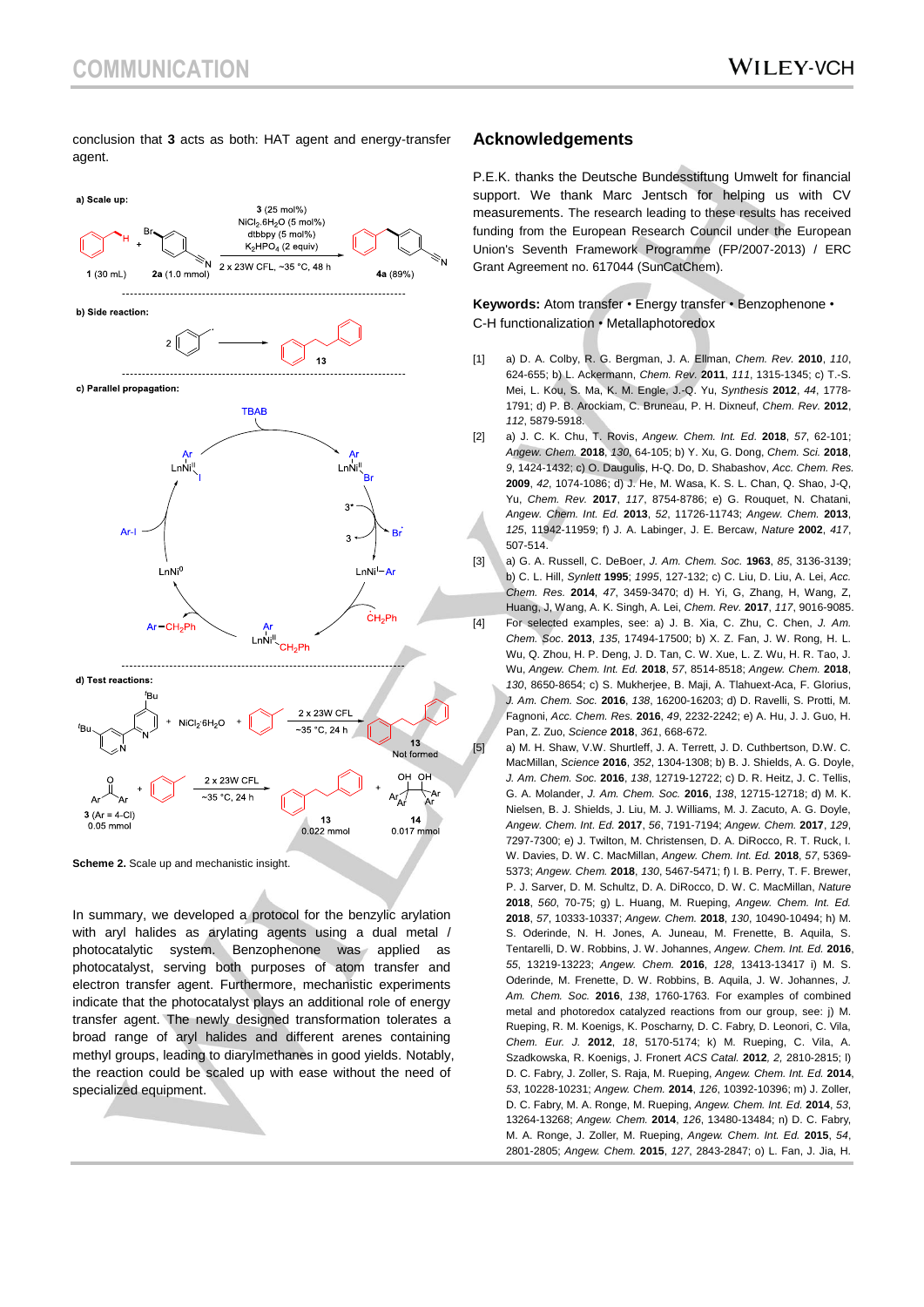conclusion that **3** acts as both: HAT agent and energy-transfer agent.



**Scheme 2.** Scale up and mechanistic insight.

In summary, we developed a protocol for the benzylic arylation with aryl halides as arylating agents using a dual metal / photocatalytic system. Benzophenone was applied as photocatalyst, serving both purposes of atom transfer and electron transfer agent. Furthermore, mechanistic experiments indicate that the photocatalyst plays an additional role of energy transfer agent. The newly designed transformation tolerates a broad range of aryl halides and different arenes containing methyl groups, leading to diarylmethanes in good yields. Notably, the reaction could be scaled up with ease without the need of specialized equipment.

#### **Acknowledgements**

P.E.K. thanks the Deutsche Bundesstiftung Umwelt for financial support. We thank Marc Jentsch for helping us with CV measurements. The research leading to these results has received funding from the European Research Council under the European Union's Seventh Framework Programme (FP/2007-2013) / ERC Grant Agreement no. 617044 (SunCatChem).

**Keywords:** Atom transfer • Energy transfer • Benzophenone • C-H functionalization • Metallaphotoredox

- [1] a) D. A. Colby, R. G. Bergman, J. A. Ellman, *Chem. Rev.* **2010**, *110*, 624-655; b) L. Ackermann, *Chem. Rev.* **2011**, *111*, 1315-1345; c) T.-S. Mei, L. Kou, S. Ma, K. M. Engle, J.-Q. Yu, *Synthesis* **2012**, *44*, 1778- 1791; d) P. B. Arockiam, C. Bruneau, P. H. Dixneuf, *Chem. Rev.* **2012**, *112*, 5879-5918.
- [2] a) J. C. K. Chu, T. Rovis, *Angew. Chem. Int. Ed.* **2018**, *57*, 62-101; *Angew. Chem.* **2018**, *130*, 64-105; b) Y. Xu, G. Dong, *Chem. Sci.* **2018**, *9*, 1424-1432; c) O. Daugulis, H-Q. Do, D. Shabashov, *Acc. Chem. Res.* **2009**, *42*, 1074-1086; d) J. He, M. Wasa, K. S. L. Chan, Q. Shao, J-Q, Yu, *Chem. Rev.* **2017**, *117*, 8754-8786; e) G. Rouquet, N. Chatani, *Angew. Chem. Int. Ed.* **2013**, *52*, 11726-11743; *Angew. Chem.* **2013**, *125*, 11942-11959; f) J. A. Labinger, J. E. Bercaw, *Nature* **2002**, *417*, 507-514.
- [3] a) G. A. Russell, C. DeBoer, *J. Am. Chem. Soc.* **1963**, *85*, 3136-3139; b) C. L. Hill, *Synlett* **1995**; *1995*, 127-132; c) C. Liu, D. Liu, A. Lei, *Acc. Chem. Res.* **2014**, *47*, 3459-3470; d) H. Yi, G, Zhang, H, Wang, Z, Huang, J, Wang, A. K. Singh, A. Lei, *Chem. Rev.* **2017**, *117*, 9016-9085. [4] For selected examples, see: a) J. B. Xia, C. Zhu, C. Chen, *J. Am. Chem. Soc*. **2013**, *135*, 17494-17500; b) X. Z. Fan, J. W. Rong, H. L. Wu, Q. Zhou, H. P. Deng, J. D. Tan, C. W. Xue, L. Z. Wu, H. R. Tao, J. Wu, *Angew. Chem. Int. Ed.* **2018**, *57*, 8514-8518; *Angew. Chem.* **2018**, *130*, 8650-8654; c) S. Mukherjee, B. Maji, A. Tlahuext-Aca, F. Glorius, *J. Am. Chem. Soc.* **2016**, *138*, 16200-16203; d) D. Ravelli, S. Protti, M. Fagnoni, *Acc. Chem. Res.* **2016**, *49*, 2232-2242; e) A. Hu, J. J. Guo, H. Pan, Z. Zuo, *Science* **2018**, *361*, 668-672.

[5] a) M. H. Shaw, V.W. Shurtleff, J. A. Terrett, J. D. Cuthbertson. D.W. C. MacMillan, *Science* **2016**, *352*, 1304-1308; b) B. J. Shields, A. G. Doyle, *J. Am. Chem. Soc.* **2016**, *138*, 12719-12722; c) D. R. Heitz, J. C. Tellis, G. A. Molander, *J. Am. Chem. Soc.* **2016**, *138*, 12715-12718; d) M. K. Nielsen, B. J. Shields, J. Liu, M. J. Williams, M. J. Zacuto, A. G. Doyle, *Angew. Chem. Int. Ed.* **2017**, *56*, 7191-7194; *Angew. Chem.* **2017**, *129*, 7297-7300; e) J. Twilton, M. Christensen, D. A. DiRocco, R. T. Ruck, I. W. Davies, D. W. C. MacMillan, *Angew. Chem. Int. Ed.* **2018**, *57*, 5369- 5373; *Angew. Chem.* **2018**, *130*, 5467-5471; f) I. B. Perry, T. F. Brewer, P. J. Sarver, D. M. Schultz, D. A. DiRocco, D. W. C. MacMillan, *Nature*  **2018**, *560*, 70-75; g) L. Huang, M. Rueping, *Angew. Chem. Int. Ed.*  **2018**, *57*, 10333-10337; *Angew. Chem.* **2018**, *130*, 10490-10494; h) M. S. Oderinde, N. H. Jones, A. Juneau, M. Frenette, B. Aquila, S. Tentarelli, D. W. Robbins, J. W. Johannes, *Angew. Chem. Int. Ed.* **2016**, *55*, 13219-13223; *Angew. Chem.* **2016**, *128*, 13413-13417 i) M. S. Oderinde, M. Frenette, D. W. Robbins, B. Aquila, J. W. Johannes, *J. Am. Chem. Soc.* **2016**, *138*, 1760-1763. For examples of combined metal and photoredox catalyzed reactions from our group, see: j) M. Rueping, R. M. Koenigs, K. Poscharny, D. C. Fabry, D. Leonori, C. Vila, *Chem. Eur. J.* **2012**, *18*, 5170-5174; k) M. Rueping, C. Vila, A. Szadkowska, R. Koenigs, J. Fronert *ACS Catal.* **2012***, 2,* 2810-2815; l) D. C. Fabry, J. Zoller, S. Raja, M. Rueping, *Angew. Chem. Int. Ed.* **2014**, *53*, 10228-10231; *Angew. Chem.* **2014**, *126*, 10392-10396; m) J. Zoller, D. C. Fabry, M. A. Ronge, M. Rueping, *Angew. Chem. Int. Ed.* **2014**, *53*, 13264-13268; *Angew. Chem.* **2014**, *126*, 13480-13484; n) D. C. Fabry, M. A. Ronge, J. Zoller, M. Rueping, *Angew. Chem. Int. Ed.* **2015**, *54*, 2801-2805; *Angew. Chem.* **2015**, *127*, 2843-2847; o) L. Fan, J. Jia, H.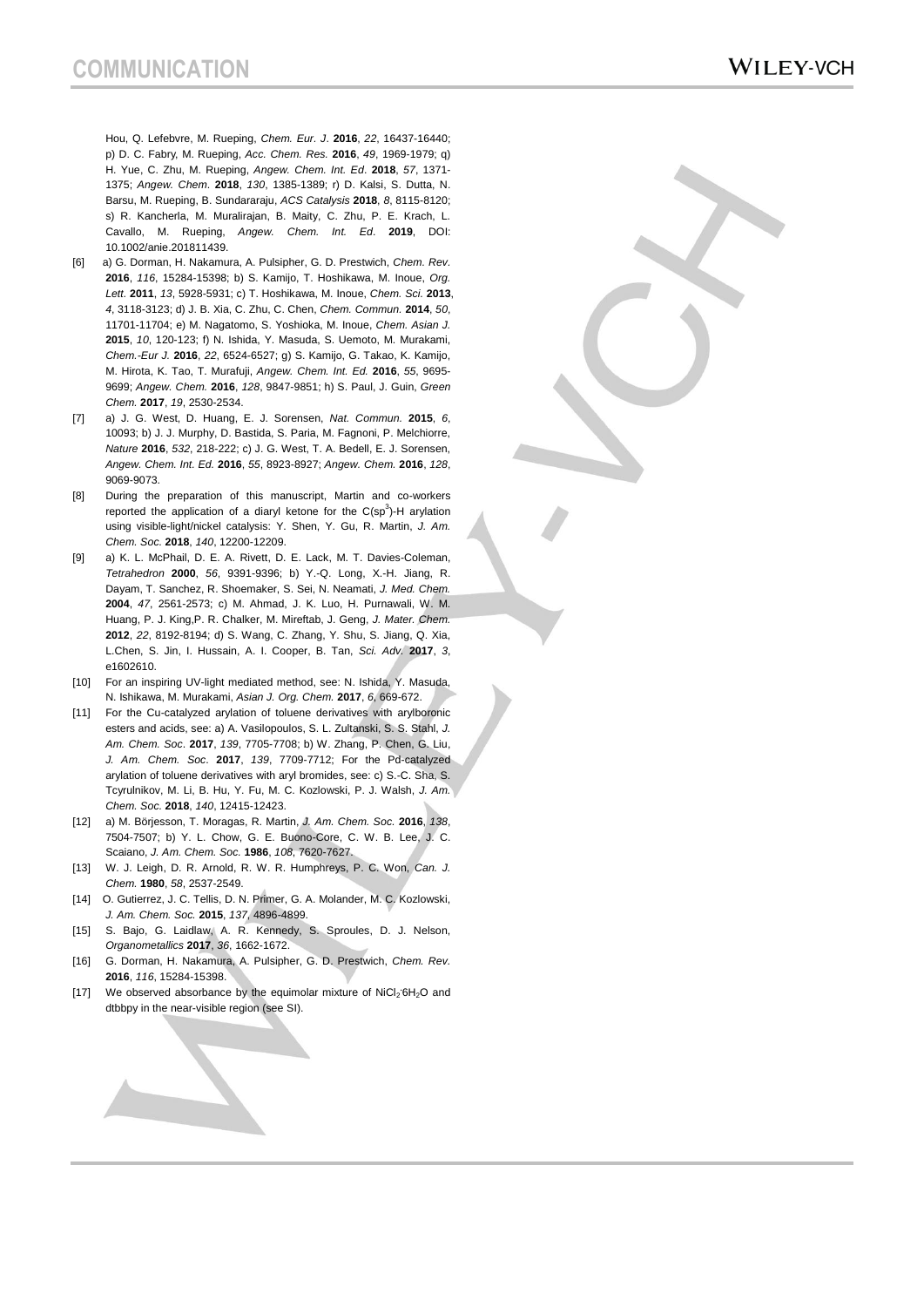Hou, Q. Lefebvre, M. Rueping, *Chem. Eur. J*. **2016**, *22*, 16437-16440; p) D. C. Fabry, M. Rueping, *Acc. Chem. Res.* **2016**, *49*, 1969-1979; q) H. Yue, C. Zhu, M. Rueping, *Angew. Chem. Int. Ed*. **2018**, *57*, 1371- 1375; *Angew. Chem*. **2018**, *130*, 1385-1389; r) D. Kalsi, S. Dutta, N. Barsu, M. Rueping, B. Sundararaju, *ACS Catalysis* **2018**, *8*, 8115-8120; s) R. Kancherla, M. Muralirajan, B. Maity, C. Zhu, P. E. Krach, L. Cavallo, M. Rueping, *Angew. Chem. Int. Ed*. **2019**, DOI: 10.1002/anie.201811439.

- [6] a) G. Dorman, H. Nakamura, A. Pulsipher, G. D. Prestwich, *Chem. Rev.* **2016**, *116*, 15284-15398; b) S. Kamijo, T. Hoshikawa, M. Inoue, *Org. Lett.* **2011**, *13*, 5928-5931; c) T. Hoshikawa, M. Inoue, *Chem. Sci.* **2013**, *4*, 3118-3123; d) J. B. Xia, C. Zhu, C. Chen, *Chem. Commun.* **2014**, *50*, 11701-11704; e) M. Nagatomo, S. Yoshioka, M. Inoue, *Chem. Asian J.* **2015**, *10*, 120-123; f) N. Ishida, Y. Masuda, S. Uemoto, M. Murakami, *Chem.-Eur J.* **2016**, *22*, 6524-6527; g) S. Kamijo, G. Takao, K. Kamijo, M. Hirota, K. Tao, T. Murafuji, *Angew. Chem. Int. Ed.* **2016**, *55*, 9695- 9699; *Angew. Chem.* **2016**, *128*, 9847-9851; h) S. Paul, J. Guin, *Green Chem.* **2017**, *19*, 2530-2534.
- [7] a) J. G. West, D. Huang, E. J. Sorensen, *Nat. Commun.* **2015**, *6*, 10093; b) J. J. Murphy, D. Bastida, S. Paria, M. Fagnoni, P. Melchiorre, *Nature* **2016**, *532*, 218-222; c) J. G. West, T. A. Bedell, E. J. Sorensen, *Angew. Chem. Int. Ed.* **2016**, *55*, 8923-8927; *Angew. Chem.* **2016**, *128*, 9069-9073.
- [8] During the preparation of this manuscript, Martin and co-workers reported the application of a diaryl ketone for the  $C(sp^3)$ -H arylation using visible-light/nickel catalysis: Y. Shen, Y. Gu, R. Martin, *J. Am. Chem. Soc.* **2018**, *140*, 12200-12209.
- [9] a) K. L. McPhail, D. E. A. Rivett, D. E. Lack, M. T. Davies-Coleman, *Tetrahedron* **2000**, *56*, 9391-9396; b) Y.-Q. Long, X.-H. Jiang, R. Dayam, T. Sanchez, R. Shoemaker, S. Sei, N. Neamati, *J. Med. Chem.* **2004**, *47*, 2561-2573; c) M. Ahmad, J. K. Luo, H. Purnawali, W. M. Huang, P. J. King,P. R. Chalker, M. Mireftab, J. Geng, *J. Mater. Chem.* **2012**, *22*, 8192-8194; d) S. Wang, C. Zhang, Y. Shu, S. Jiang, Q. Xia, L.Chen, S. Jin, I. Hussain, A. I. Cooper, B. Tan, *Sci. Adv.* **2017**, *3*, e1602610.
- [10] For an inspiring UV-light mediated method, see: N. Ishida, Y. Masuda, N. Ishikawa, M. Murakami, *Asian J. Org. Chem.* **2017**, *6*, 669-672.
- [11] For the Cu-catalyzed arylation of toluene derivatives with arylboronic esters and acids, see: a) A. Vasilopoulos, S. L. Zultanski, S. S. Stahl, *J. Am. Chem. Soc*. **2017**, *139*, 7705-7708; b) W. Zhang, P. Chen, G. Liu, *J. Am. Chem. Soc*. **2017**, *139*, 7709-7712; For the Pd-catalyzed arylation of toluene derivatives with aryl bromides, see: c) S.-C. Sha, S. Tcyrulnikov, M. Li, B. Hu, Y. Fu, M. C. Kozlowski, P. J. Walsh, *J. Am. Chem. Soc.* **2018**, *140*, 12415-12423.
- [12] a) M. Börjesson, T. Moragas, R. Martin, *J. Am. Chem. Soc.* **2016**, *138*, 7504-7507; b) Y. L. Chow, G. E. Buono-Core, C. W. B. Lee, J. C. Scaiano, *J. Am. Chem. Soc.* **1986**, *108*, 7620-7627.
- [13] W. J. Leigh, D. R. Arnold, R. W. R. Humphreys, P. C. Won, *Can. J. Chem.* **1980**, *58*, 2537-2549.
- [14] O. Gutierrez, J. C. Tellis, D. N. Primer, G. A. Molander, M. C. Kozlowski, *J. Am. Chem. Soc.* **2015**, *137*, 4896-4899.
- [15] S. Bajo, G. Laidlaw, A. R. Kennedy, S. Sproules, D. J. Nelson, *Organometallics* **2017**, *36*, 1662-1672.
- [16] G. Dorman, H. Nakamura, A. Pulsipher, G. D. Prestwich, *Chem. Rev.* **2016**, *116*, 15284-15398.
- [17] We observed absorbance by the equimolar mixture of NiCl<sub>2</sub><sup>6H<sub>2</sub>O and</sup> dtbbpy in the near-visible region (see SI).